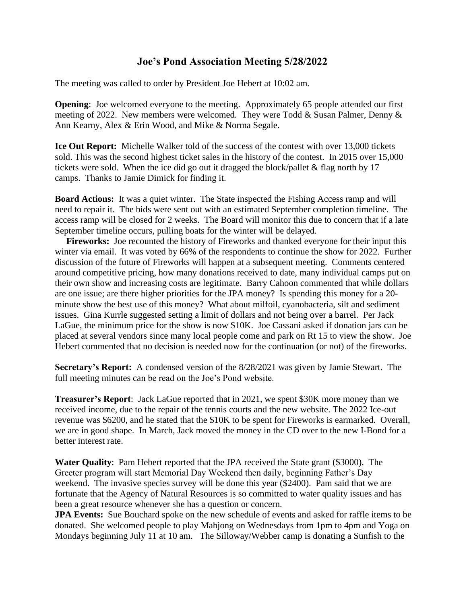## **Joe's Pond Association Meeting 5/28/2022**

The meeting was called to order by President Joe Hebert at 10:02 am.

**Opening:** Joe welcomed everyone to the meeting. Approximately 65 people attended our first meeting of 2022. New members were welcomed. They were Todd & Susan Palmer, Denny & Ann Kearny, Alex & Erin Wood, and Mike & Norma Segale.

**Ice Out Report:** Michelle Walker told of the success of the contest with over 13,000 tickets sold. This was the second highest ticket sales in the history of the contest. In 2015 over 15,000 tickets were sold. When the ice did go out it dragged the block/pallet  $&$  flag north by 17 camps. Thanks to Jamie Dimick for finding it.

**Board Actions:** It was a quiet winter. The State inspected the Fishing Access ramp and will need to repair it. The bids were sent out with an estimated September completion timeline. The access ramp will be closed for 2 weeks. The Board will monitor this due to concern that if a late September timeline occurs, pulling boats for the winter will be delayed.

 **Fireworks:** Joe recounted the history of Fireworks and thanked everyone for their input this winter via email. It was voted by 66% of the respondents to continue the show for 2022. Further discussion of the future of Fireworks will happen at a subsequent meeting. Comments centered around competitive pricing, how many donations received to date, many individual camps put on their own show and increasing costs are legitimate. Barry Cahoon commented that while dollars are one issue; are there higher priorities for the JPA money? Is spending this money for a 20 minute show the best use of this money? What about milfoil, cyanobacteria, silt and sediment issues. Gina Kurrle suggested setting a limit of dollars and not being over a barrel. Per Jack LaGue, the minimum price for the show is now \$10K. Joe Cassani asked if donation jars can be placed at several vendors since many local people come and park on Rt 15 to view the show. Joe Hebert commented that no decision is needed now for the continuation (or not) of the fireworks.

**Secretary's Report:** A condensed version of the 8/28/2021 was given by Jamie Stewart. The full meeting minutes can be read on the Joe's Pond website.

**Treasurer's Report**: Jack LaGue reported that in 2021, we spent \$30K more money than we received income, due to the repair of the tennis courts and the new website. The 2022 Ice-out revenue was \$6200, and he stated that the \$10K to be spent for Fireworks is earmarked. Overall, we are in good shape. In March, Jack moved the money in the CD over to the new I-Bond for a better interest rate.

**Water Quality**: Pam Hebert reported that the JPA received the State grant (\$3000). The Greeter program will start Memorial Day Weekend then daily, beginning Father's Day weekend. The invasive species survey will be done this year (\$2400). Pam said that we are fortunate that the Agency of Natural Resources is so committed to water quality issues and has been a great resource whenever she has a question or concern.

**JPA Events:** Sue Bouchard spoke on the new schedule of events and asked for raffle items to be donated. She welcomed people to play Mahjong on Wednesdays from 1pm to 4pm and Yoga on Mondays beginning July 11 at 10 am. The Silloway/Webber camp is donating a Sunfish to the